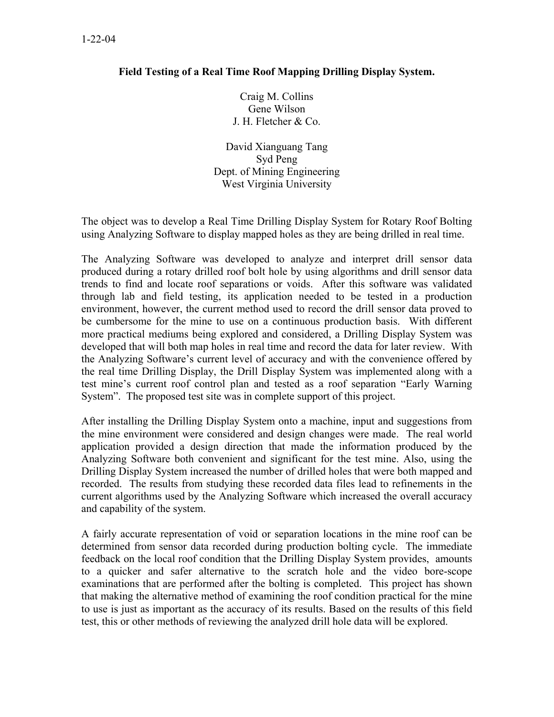## **Field Testing of a Real Time Roof Mapping Drilling Display System.**

Craig M. Collins Gene Wilson J. H. Fletcher & Co.

David Xianguang Tang Syd Peng Dept. of Mining Engineering West Virginia University

The object was to develop a Real Time Drilling Display System for Rotary Roof Bolting using Analyzing Software to display mapped holes as they are being drilled in real time.

The Analyzing Software was developed to analyze and interpret drill sensor data produced during a rotary drilled roof bolt hole by using algorithms and drill sensor data trends to find and locate roof separations or voids. After this software was validated through lab and field testing, its application needed to be tested in a production environment, however, the current method used to record the drill sensor data proved to be cumbersome for the mine to use on a continuous production basis. With different more practical mediums being explored and considered, a Drilling Display System was developed that will both map holes in real time and record the data for later review. With the Analyzing Software's current level of accuracy and with the convenience offered by the real time Drilling Display, the Drill Display System was implemented along with a test mine's current roof control plan and tested as a roof separation "Early Warning System". The proposed test site was in complete support of this project.

After installing the Drilling Display System onto a machine, input and suggestions from the mine environment were considered and design changes were made. The real world application provided a design direction that made the information produced by the Analyzing Software both convenient and significant for the test mine. Also, using the Drilling Display System increased the number of drilled holes that were both mapped and recorded. The results from studying these recorded data files lead to refinements in the current algorithms used by the Analyzing Software which increased the overall accuracy and capability of the system.

A fairly accurate representation of void or separation locations in the mine roof can be determined from sensor data recorded during production bolting cycle. The immediate feedback on the local roof condition that the Drilling Display System provides, amounts to a quicker and safer alternative to the scratch hole and the video bore-scope examinations that are performed after the bolting is completed. This project has shown that making the alternative method of examining the roof condition practical for the mine to use is just as important as the accuracy of its results. Based on the results of this field test, this or other methods of reviewing the analyzed drill hole data will be explored.